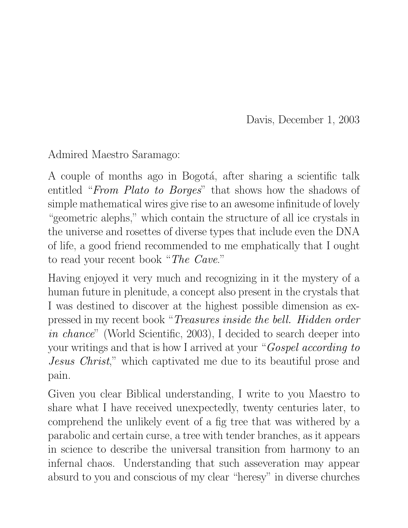Davis, December 1, 2003

Admired Maestro Saramago:

A couple of months ago in Bogotá, after sharing a scientific talk entitled "*From Plato to Borges*" that shows how the shadows of simple mathematical wires give rise to an awesome infinitude of lovely "geometric alephs," which contain the structure of all ice crystals in the universe and rosettes of diverse types that include even the DNA of life, a good friend recommended to me emphatically that I ought to read your recent book "*The Cave*."

Having enjoyed it very much and recognizing in it the mystery of a human future in plenitude, a concept also present in the crystals that I was destined to discover at the highest possible dimension as expressed in my recent book "*Treasures inside the bell. Hidden order in chance*" (World Scientific, 2003), I decided to search deeper into your writings and that is how I arrived at your "*Gospel according to Jesus Christ*," which captivated me due to its beautiful prose and pain.

Given you clear Biblical understanding, I write to you Maestro to share what I have received unexpectedly, twenty centuries later, to comprehend the unlikely event of a fig tree that was withered by a parabolic and certain curse, a tree with tender branches, as it appears in science to describe the universal transition from harmony to an infernal chaos. Understanding that such asseveration may appear absurd to you and conscious of my clear "heresy" in diverse churches